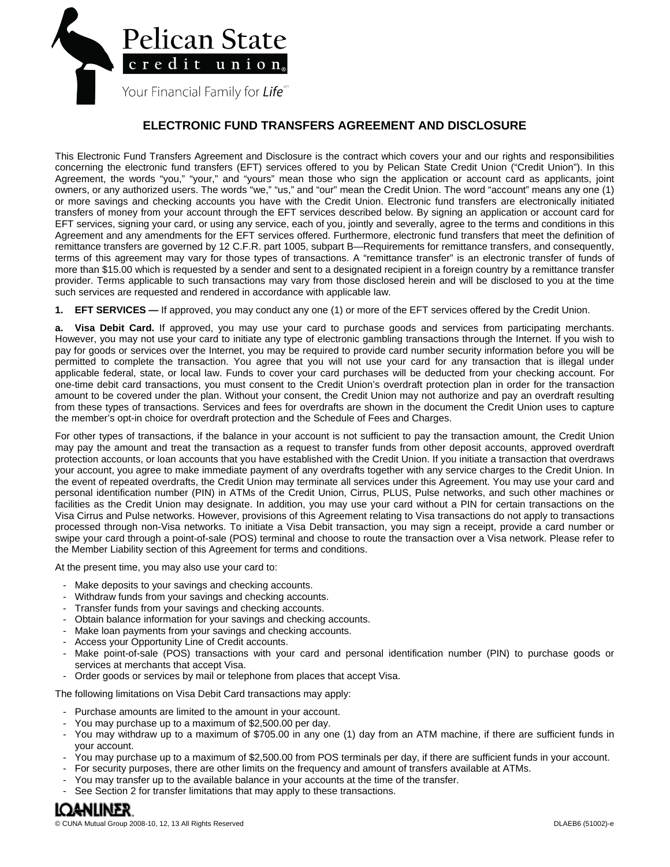

## **ELECTRONIC FUND TRANSFERS AGREEMENT AND DISCLOSURE**

This Electronic Fund Transfers Agreement and Disclosure is the contract which covers your and our rights and responsibilities concerning the electronic fund transfers (EFT) services offered to you by Pelican State Credit Union ("Credit Union"). In this Agreement, the words "you," "your," and "yours" mean those who sign the application or account card as applicants, joint owners, or any authorized users. The words "we," "us," and "our" mean the Credit Union. The word "account" means any one (1) or more savings and checking accounts you have with the Credit Union. Electronic fund transfers are electronically initiated transfers of money from your account through the EFT services described below. By signing an application or account card for EFT services, signing your card, or using any service, each of you, jointly and severally, agree to the terms and conditions in this Agreement and any amendments for the EFT services offered. Furthermore, electronic fund transfers that meet the definition of remittance transfers are governed by 12 C.F.R. part 1005, subpart B—Requirements for remittance transfers, and consequently, terms of this agreement may vary for those types of transactions. A "remittance transfer" is an electronic transfer of funds of more than \$15.00 which is requested by a sender and sent to a designated recipient in a foreign country by a remittance transfer provider. Terms applicable to such transactions may vary from those disclosed herein and will be disclosed to you at the time such services are requested and rendered in accordance with applicable law.

**1. EFT SERVICES —** If approved, you may conduct any one (1) or more of the EFT services offered by the Credit Union.

**a. Visa Debit Card.** If approved, you may use your card to purchase goods and services from participating merchants. However, you may not use your card to initiate any type of electronic gambling transactions through the Internet. If you wish to pay for goods or services over the Internet, you may be required to provide card number security information before you will be permitted to complete the transaction. You agree that you will not use your card for any transaction that is illegal under applicable federal, state, or local law. Funds to cover your card purchases will be deducted from your checking account. For one-time debit card transactions, you must consent to the Credit Union's overdraft protection plan in order for the transaction amount to be covered under the plan. Without your consent, the Credit Union may not authorize and pay an overdraft resulting from these types of transactions. Services and fees for overdrafts are shown in the document the Credit Union uses to capture the member's opt-in choice for overdraft protection and the Schedule of Fees and Charges.

For other types of transactions, if the balance in your account is not sufficient to pay the transaction amount, the Credit Union may pay the amount and treat the transaction as a request to transfer funds from other deposit accounts, approved overdraft protection accounts, or loan accounts that you have established with the Credit Union. If you initiate a transaction that overdraws your account, you agree to make immediate payment of any overdrafts together with any service charges to the Credit Union. In the event of repeated overdrafts, the Credit Union may terminate all services under this Agreement. You may use your card and personal identification number (PIN) in ATMs of the Credit Union, Cirrus, PLUS, Pulse networks, and such other machines or facilities as the Credit Union may designate. In addition, you may use your card without a PIN for certain transactions on the Visa Cirrus and Pulse networks. However, provisions of this Agreement relating to Visa transactions do not apply to transactions processed through non-Visa networks. To initiate a Visa Debit transaction, you may sign a receipt, provide a card number or swipe your card through a point-of-sale (POS) terminal and choose to route the transaction over a Visa network. Please refer to the Member Liability section of this Agreement for terms and conditions.

At the present time, you may also use your card to:

- Make deposits to your savings and checking accounts.
- Withdraw funds from your savings and checking accounts.
- Transfer funds from your savings and checking accounts.
- Obtain balance information for your savings and checking accounts.
- Make loan payments from your savings and checking accounts.
- Access your Opportunity Line of Credit accounts.
- Make point-of-sale (POS) transactions with your card and personal identification number (PIN) to purchase goods or services at merchants that accept Visa.
- Order goods or services by mail or telephone from places that accept Visa.

The following limitations on Visa Debit Card transactions may apply:

- Purchase amounts are limited to the amount in your account.
- You may purchase up to a maximum of \$2,500.00 per day.
- You may withdraw up to a maximum of \$705.00 in any one (1) day from an ATM machine, if there are sufficient funds in your account.
- You may purchase up to a maximum of \$2,500.00 from POS terminals per day, if there are sufficient funds in your account.
- For security purposes, there are other limits on the frequency and amount of transfers available at ATMs.
- You may transfer up to the available balance in your accounts at the time of the transfer.
- See Section 2 for transfer limitations that may apply to these transactions.

# IQ<del>a</del>nlıner.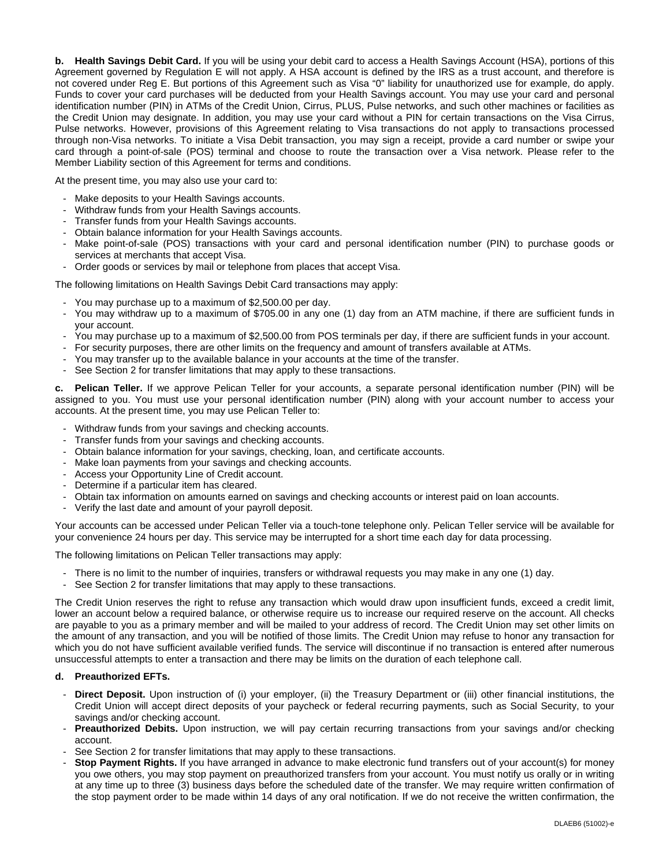**b. Health Savings Debit Card.** If you will be using your debit card to access a Health Savings Account (HSA), portions of this Agreement governed by Regulation E will not apply. A HSA account is defined by the IRS as a trust account, and therefore is not covered under Reg E. But portions of this Agreement such as Visa "0" liability for unauthorized use for example, do apply. Funds to cover your card purchases will be deducted from your Health Savings account. You may use your card and personal identification number (PIN) in ATMs of the Credit Union, Cirrus, PLUS, Pulse networks, and such other machines or facilities as the Credit Union may designate. In addition, you may use your card without a PIN for certain transactions on the Visa Cirrus, Pulse networks. However, provisions of this Agreement relating to Visa transactions do not apply to transactions processed through non-Visa networks. To initiate a Visa Debit transaction, you may sign a receipt, provide a card number or swipe your card through a point-of-sale (POS) terminal and choose to route the transaction over a Visa network. Please refer to the Member Liability section of this Agreement for terms and conditions.

At the present time, you may also use your card to:

- Make deposits to your Health Savings accounts.
- Withdraw funds from your Health Savings accounts.
- Transfer funds from your Health Savings accounts.
- Obtain balance information for your Health Savings accounts.
- Make point-of-sale (POS) transactions with your card and personal identification number (PIN) to purchase goods or services at merchants that accept Visa.
- Order goods or services by mail or telephone from places that accept Visa.

The following limitations on Health Savings Debit Card transactions may apply:

- You may purchase up to a maximum of \$2,500.00 per day.
- You may withdraw up to a maximum of \$705.00 in any one (1) day from an ATM machine, if there are sufficient funds in your account.
- You may purchase up to a maximum of \$2,500.00 from POS terminals per day, if there are sufficient funds in your account.
- For security purposes, there are other limits on the frequency and amount of transfers available at ATMs.
- You may transfer up to the available balance in your accounts at the time of the transfer.
- See Section 2 for transfer limitations that may apply to these transactions.

**c. Pelican Teller.** If we approve Pelican Teller for your accounts, a separate personal identification number (PIN) will be assigned to you. You must use your personal identification number (PIN) along with your account number to access your accounts. At the present time, you may use Pelican Teller to:

- Withdraw funds from your savings and checking accounts.
- Transfer funds from your savings and checking accounts.
- Obtain balance information for your savings, checking, loan, and certificate accounts.
- Make loan payments from your savings and checking accounts.
- Access your Opportunity Line of Credit account.
- Determine if a particular item has cleared.
- Obtain tax information on amounts earned on savings and checking accounts or interest paid on loan accounts.
- Verify the last date and amount of your payroll deposit.

Your accounts can be accessed under Pelican Teller via a touch-tone telephone only. Pelican Teller service will be available for your convenience 24 hours per day. This service may be interrupted for a short time each day for data processing.

The following limitations on Pelican Teller transactions may apply:

- There is no limit to the number of inquiries, transfers or withdrawal requests you may make in any one (1) day.
- See Section 2 for transfer limitations that may apply to these transactions.

The Credit Union reserves the right to refuse any transaction which would draw upon insufficient funds, exceed a credit limit, lower an account below a required balance, or otherwise require us to increase our required reserve on the account. All checks are payable to you as a primary member and will be mailed to your address of record. The Credit Union may set other limits on the amount of any transaction, and you will be notified of those limits. The Credit Union may refuse to honor any transaction for which you do not have sufficient available verified funds. The service will discontinue if no transaction is entered after numerous unsuccessful attempts to enter a transaction and there may be limits on the duration of each telephone call.

#### **d. Preauthorized EFTs.**

- Direct Deposit. Upon instruction of (i) your employer, (ii) the Treasury Department or (iii) other financial institutions, the Credit Union will accept direct deposits of your paycheck or federal recurring payments, such as Social Security, to your savings and/or checking account.
- Preauthorized Debits. Upon instruction, we will pay certain recurring transactions from your savings and/or checking account.
- See Section 2 for transfer limitations that may apply to these transactions.
- **Stop Payment Rights.** If you have arranged in advance to make electronic fund transfers out of your account(s) for money you owe others, you may stop payment on preauthorized transfers from your account. You must notify us orally or in writing at any time up to three (3) business days before the scheduled date of the transfer. We may require written confirmation of the stop payment order to be made within 14 days of any oral notification. If we do not receive the written confirmation, the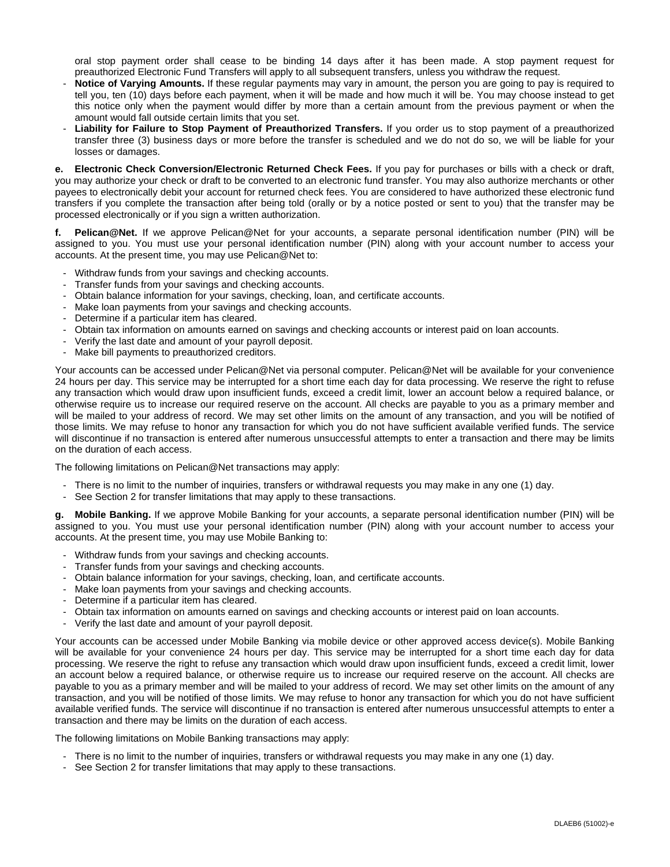oral stop payment order shall cease to be binding 14 days after it has been made. A stop payment request for preauthorized Electronic Fund Transfers will apply to all subsequent transfers, unless you withdraw the request.

- **Notice of Varying Amounts.** If these regular payments may vary in amount, the person you are going to pay is required to tell you, ten (10) days before each payment, when it will be made and how much it will be. You may choose instead to get this notice only when the payment would differ by more than a certain amount from the previous payment or when the amount would fall outside certain limits that you set.
- **Liability for Failure to Stop Payment of Preauthorized Transfers.** If you order us to stop payment of a preauthorized transfer three (3) business days or more before the transfer is scheduled and we do not do so, we will be liable for your losses or damages.

**e. Electronic Check Conversion/Electronic Returned Check Fees.** If you pay for purchases or bills with a check or draft, you may authorize your check or draft to be converted to an electronic fund transfer. You may also authorize merchants or other payees to electronically debit your account for returned check fees. You are considered to have authorized these electronic fund transfers if you complete the transaction after being told (orally or by a notice posted or sent to you) that the transfer may be processed electronically or if you sign a written authorization.

**f. Pelican@Net.** If we approve Pelican@Net for your accounts, a separate personal identification number (PIN) will be assigned to you. You must use your personal identification number (PIN) along with your account number to access your accounts. At the present time, you may use Pelican@Net to:

- Withdraw funds from your savings and checking accounts.
- Transfer funds from your savings and checking accounts.
- Obtain balance information for your savings, checking, loan, and certificate accounts.
- Make loan payments from your savings and checking accounts.
- Determine if a particular item has cleared.
- Obtain tax information on amounts earned on savings and checking accounts or interest paid on loan accounts.
- Verify the last date and amount of your payroll deposit.
- Make bill payments to preauthorized creditors.

Your accounts can be accessed under Pelican@Net via personal computer. Pelican@Net will be available for your convenience 24 hours per day. This service may be interrupted for a short time each day for data processing. We reserve the right to refuse any transaction which would draw upon insufficient funds, exceed a credit limit, lower an account below a required balance, or otherwise require us to increase our required reserve on the account. All checks are payable to you as a primary member and will be mailed to your address of record. We may set other limits on the amount of any transaction, and you will be notified of those limits. We may refuse to honor any transaction for which you do not have sufficient available verified funds. The service will discontinue if no transaction is entered after numerous unsuccessful attempts to enter a transaction and there may be limits on the duration of each access.

The following limitations on Pelican@Net transactions may apply:

- There is no limit to the number of inquiries, transfers or withdrawal requests you may make in any one (1) day.
- See Section 2 for transfer limitations that may apply to these transactions.

**g. Mobile Banking.** If we approve Mobile Banking for your accounts, a separate personal identification number (PIN) will be assigned to you. You must use your personal identification number (PIN) along with your account number to access your accounts. At the present time, you may use Mobile Banking to:

- Withdraw funds from your savings and checking accounts.
- Transfer funds from your savings and checking accounts.
- Obtain balance information for your savings, checking, loan, and certificate accounts.
- Make loan payments from your savings and checking accounts.
- Determine if a particular item has cleared.
- Obtain tax information on amounts earned on savings and checking accounts or interest paid on loan accounts.
- Verify the last date and amount of your payroll deposit.

Your accounts can be accessed under Mobile Banking via mobile device or other approved access device(s). Mobile Banking will be available for your convenience 24 hours per day. This service may be interrupted for a short time each day for data processing. We reserve the right to refuse any transaction which would draw upon insufficient funds, exceed a credit limit, lower an account below a required balance, or otherwise require us to increase our required reserve on the account. All checks are payable to you as a primary member and will be mailed to your address of record. We may set other limits on the amount of any transaction, and you will be notified of those limits. We may refuse to honor any transaction for which you do not have sufficient available verified funds. The service will discontinue if no transaction is entered after numerous unsuccessful attempts to enter a transaction and there may be limits on the duration of each access.

The following limitations on Mobile Banking transactions may apply:

- There is no limit to the number of inquiries, transfers or withdrawal requests you may make in any one (1) day.
- See Section 2 for transfer limitations that may apply to these transactions.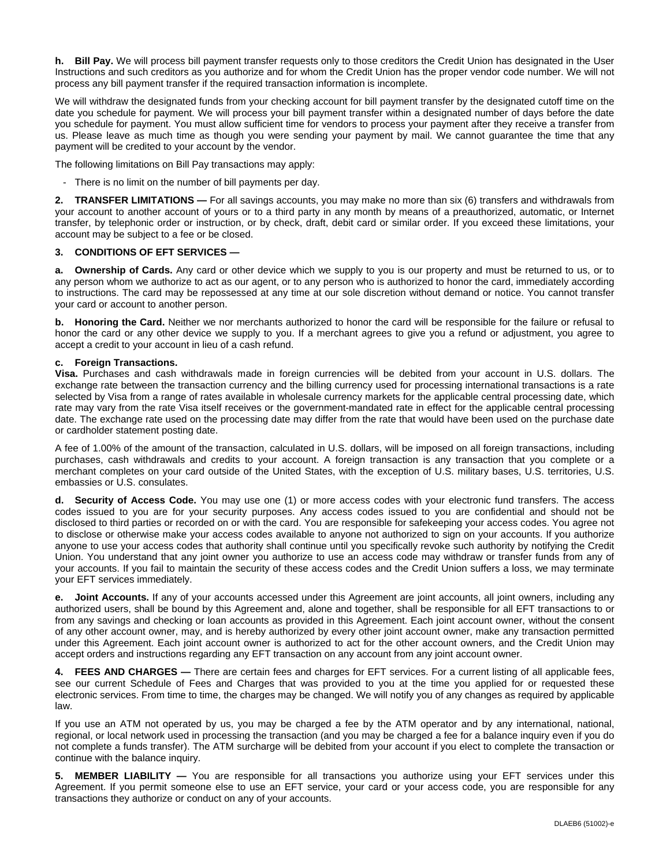**h. Bill Pay.** We will process bill payment transfer requests only to those creditors the Credit Union has designated in the User Instructions and such creditors as you authorize and for whom the Credit Union has the proper vendor code number. We will not process any bill payment transfer if the required transaction information is incomplete.

We will withdraw the designated funds from your checking account for bill payment transfer by the designated cutoff time on the date you schedule for payment. We will process your bill payment transfer within a designated number of days before the date you schedule for payment. You must allow sufficient time for vendors to process your payment after they receive a transfer from us. Please leave as much time as though you were sending your payment by mail. We cannot guarantee the time that any payment will be credited to your account by the vendor.

The following limitations on Bill Pay transactions may apply:

- There is no limit on the number of bill payments per day.

**2. TRANSFER LIMITATIONS —** For all savings accounts, you may make no more than six (6) transfers and withdrawals from your account to another account of yours or to a third party in any month by means of a preauthorized, automatic, or Internet transfer, by telephonic order or instruction, or by check, draft, debit card or similar order. If you exceed these limitations, your account may be subject to a fee or be closed.

#### **3. CONDITIONS OF EFT SERVICES —**

**a. Ownership of Cards.** Any card or other device which we supply to you is our property and must be returned to us, or to any person whom we authorize to act as our agent, or to any person who is authorized to honor the card, immediately according to instructions. The card may be repossessed at any time at our sole discretion without demand or notice. You cannot transfer your card or account to another person.

**b. Honoring the Card.** Neither we nor merchants authorized to honor the card will be responsible for the failure or refusal to honor the card or any other device we supply to you. If a merchant agrees to give you a refund or adjustment, you agree to accept a credit to your account in lieu of a cash refund.

#### **c. Foreign Transactions.**

**Visa.** Purchases and cash withdrawals made in foreign currencies will be debited from your account in U.S. dollars. The exchange rate between the transaction currency and the billing currency used for processing international transactions is a rate selected by Visa from a range of rates available in wholesale currency markets for the applicable central processing date, which rate may vary from the rate Visa itself receives or the government-mandated rate in effect for the applicable central processing date. The exchange rate used on the processing date may differ from the rate that would have been used on the purchase date or cardholder statement posting date.

A fee of 1.00% of the amount of the transaction, calculated in U.S. dollars, will be imposed on all foreign transactions, including purchases, cash withdrawals and credits to your account. A foreign transaction is any transaction that you complete or a merchant completes on your card outside of the United States, with the exception of U.S. military bases, U.S. territories, U.S. embassies or U.S. consulates.

**d. Security of Access Code.** You may use one (1) or more access codes with your electronic fund transfers. The access codes issued to you are for your security purposes. Any access codes issued to you are confidential and should not be disclosed to third parties or recorded on or with the card. You are responsible for safekeeping your access codes. You agree not to disclose or otherwise make your access codes available to anyone not authorized to sign on your accounts. If you authorize anyone to use your access codes that authority shall continue until you specifically revoke such authority by notifying the Credit Union. You understand that any joint owner you authorize to use an access code may withdraw or transfer funds from any of your accounts. If you fail to maintain the security of these access codes and the Credit Union suffers a loss, we may terminate your EFT services immediately.

**Joint Accounts.** If any of your accounts accessed under this Agreement are joint accounts, all joint owners, including any authorized users, shall be bound by this Agreement and, alone and together, shall be responsible for all EFT transactions to or from any savings and checking or loan accounts as provided in this Agreement. Each joint account owner, without the consent of any other account owner, may, and is hereby authorized by every other joint account owner, make any transaction permitted under this Agreement. Each joint account owner is authorized to act for the other account owners, and the Credit Union may accept orders and instructions regarding any EFT transaction on any account from any joint account owner.

**4. FEES AND CHARGES —** There are certain fees and charges for EFT services. For a current listing of all applicable fees, see our current Schedule of Fees and Charges that was provided to you at the time you applied for or requested these electronic services. From time to time, the charges may be changed. We will notify you of any changes as required by applicable law.

If you use an ATM not operated by us, you may be charged a fee by the ATM operator and by any international, national, regional, or local network used in processing the transaction (and you may be charged a fee for a balance inquiry even if you do not complete a funds transfer). The ATM surcharge will be debited from your account if you elect to complete the transaction or continue with the balance inquiry.

**5. MEMBER LIABILITY —** You are responsible for all transactions you authorize using your EFT services under this Agreement. If you permit someone else to use an EFT service, your card or your access code, you are responsible for any transactions they authorize or conduct on any of your accounts.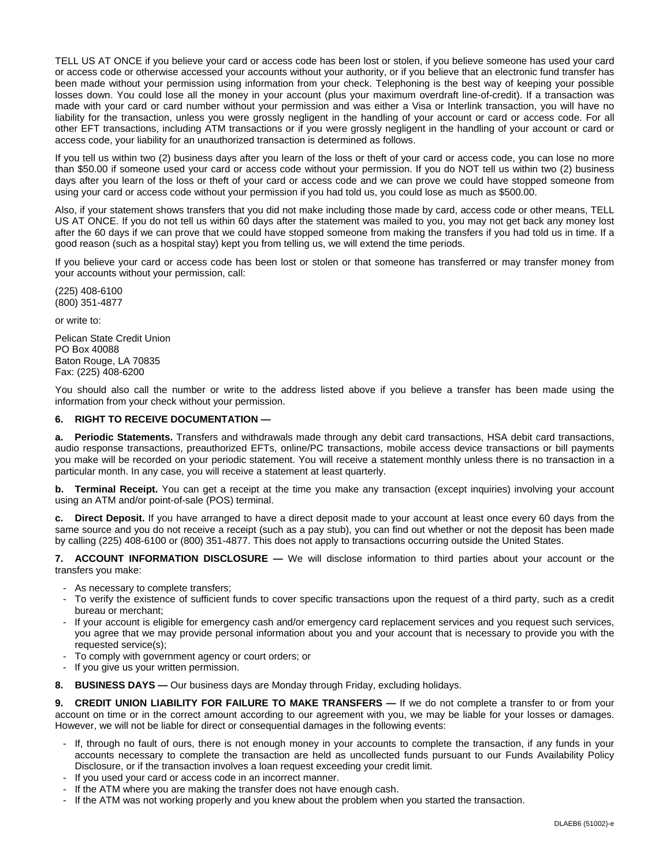TELL US AT ONCE if you believe your card or access code has been lost or stolen, if you believe someone has used your card or access code or otherwise accessed your accounts without your authority, or if you believe that an electronic fund transfer has been made without your permission using information from your check. Telephoning is the best way of keeping your possible losses down. You could lose all the money in your account (plus your maximum overdraft line-of-credit). If a transaction was made with your card or card number without your permission and was either a Visa or Interlink transaction, you will have no liability for the transaction, unless you were grossly negligent in the handling of your account or card or access code. For all other EFT transactions, including ATM transactions or if you were grossly negligent in the handling of your account or card or access code, your liability for an unauthorized transaction is determined as follows.

If you tell us within two (2) business days after you learn of the loss or theft of your card or access code, you can lose no more than \$50.00 if someone used your card or access code without your permission. If you do NOT tell us within two (2) business days after you learn of the loss or theft of your card or access code and we can prove we could have stopped someone from using your card or access code without your permission if you had told us, you could lose as much as \$500.00.

Also, if your statement shows transfers that you did not make including those made by card, access code or other means, TELL US AT ONCE. If you do not tell us within 60 days after the statement was mailed to you, you may not get back any money lost after the 60 days if we can prove that we could have stopped someone from making the transfers if you had told us in time. If a good reason (such as a hospital stay) kept you from telling us, we will extend the time periods.

If you believe your card or access code has been lost or stolen or that someone has transferred or may transfer money from your accounts without your permission, call:

(225) 408-6100 (800) 351-4877

or write to:

Pelican State Credit Union PO Box 40088 Baton Rouge, LA 70835 Fax: (225) 408-6200

You should also call the number or write to the address listed above if you believe a transfer has been made using the information from your check without your permission.

### **6. RIGHT TO RECEIVE DOCUMENTATION —**

**a. Periodic Statements.** Transfers and withdrawals made through any debit card transactions, HSA debit card transactions, audio response transactions, preauthorized EFTs, online/PC transactions, mobile access device transactions or bill payments you make will be recorded on your periodic statement. You will receive a statement monthly unless there is no transaction in a particular month. In any case, you will receive a statement at least quarterly.

**b.** Terminal Receipt. You can get a receipt at the time you make any transaction (except inquiries) involving your account using an ATM and/or point-of-sale (POS) terminal.

**c. Direct Deposit.** If you have arranged to have a direct deposit made to your account at least once every 60 days from the same source and you do not receive a receipt (such as a pay stub), you can find out whether or not the deposit has been made by calling (225) 408-6100 or (800) 351-4877. This does not apply to transactions occurring outside the United States.

**7. ACCOUNT INFORMATION DISCLOSURE —** We will disclose information to third parties about your account or the transfers you make:

- As necessary to complete transfers;
- To verify the existence of sufficient funds to cover specific transactions upon the request of a third party, such as a credit bureau or merchant;
- If your account is eligible for emergency cash and/or emergency card replacement services and you request such services, you agree that we may provide personal information about you and your account that is necessary to provide you with the requested service(s);
- To comply with government agency or court orders; or
- If you give us your written permission.
- **8. BUSINESS DAYS —** Our business days are Monday through Friday, excluding holidays.

**9. CREDIT UNION LIABILITY FOR FAILURE TO MAKE TRANSFERS —** If we do not complete a transfer to or from your account on time or in the correct amount according to our agreement with you, we may be liable for your losses or damages. However, we will not be liable for direct or consequential damages in the following events:

- If, through no fault of ours, there is not enough money in your accounts to complete the transaction, if any funds in your accounts necessary to complete the transaction are held as uncollected funds pursuant to our Funds Availability Policy Disclosure, or if the transaction involves a loan request exceeding your credit limit.
- If you used your card or access code in an incorrect manner.
- If the ATM where you are making the transfer does not have enough cash.
- If the ATM was not working properly and you knew about the problem when you started the transaction.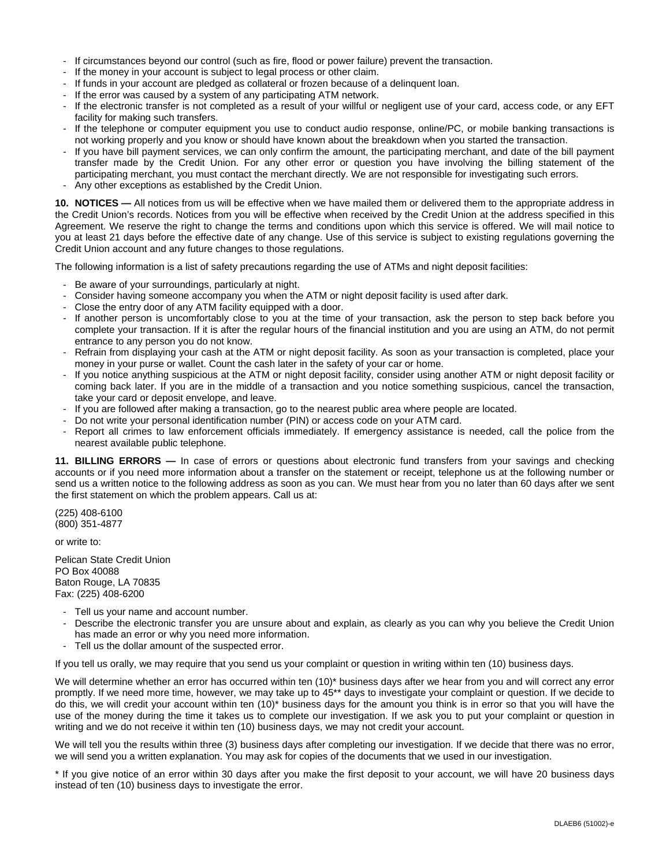- If circumstances beyond our control (such as fire, flood or power failure) prevent the transaction.
- If the money in your account is subject to legal process or other claim.
- If funds in your account are pledged as collateral or frozen because of a delinquent loan.
- If the error was caused by a system of any participating ATM network.
- If the electronic transfer is not completed as a result of your willful or negligent use of your card, access code, or any EFT facility for making such transfers.
- If the telephone or computer equipment you use to conduct audio response, online/PC, or mobile banking transactions is not working properly and you know or should have known about the breakdown when you started the transaction.
- If you have bill payment services, we can only confirm the amount, the participating merchant, and date of the bill payment transfer made by the Credit Union. For any other error or question you have involving the billing statement of the participating merchant, you must contact the merchant directly. We are not responsible for investigating such errors.
- Any other exceptions as established by the Credit Union.

**10. NOTICES —** All notices from us will be effective when we have mailed them or delivered them to the appropriate address in the Credit Union's records. Notices from you will be effective when received by the Credit Union at the address specified in this Agreement. We reserve the right to change the terms and conditions upon which this service is offered. We will mail notice to you at least 21 days before the effective date of any change. Use of this service is subject to existing regulations governing the Credit Union account and any future changes to those regulations.

The following information is a list of safety precautions regarding the use of ATMs and night deposit facilities:

- Be aware of your surroundings, particularly at night.
- Consider having someone accompany you when the ATM or night deposit facility is used after dark.
- Close the entry door of any ATM facility equipped with a door.
- If another person is uncomfortably close to you at the time of your transaction, ask the person to step back before you complete your transaction. If it is after the regular hours of the financial institution and you are using an ATM, do not permit entrance to any person you do not know.
- Refrain from displaying your cash at the ATM or night deposit facility. As soon as your transaction is completed, place your money in your purse or wallet. Count the cash later in the safety of your car or home.
- If you notice anything suspicious at the ATM or night deposit facility, consider using another ATM or night deposit facility or coming back later. If you are in the middle of a transaction and you notice something suspicious, cancel the transaction, take your card or deposit envelope, and leave.
- If you are followed after making a transaction, go to the nearest public area where people are located.
- Do not write your personal identification number (PIN) or access code on your ATM card.
- Report all crimes to law enforcement officials immediately. If emergency assistance is needed, call the police from the nearest available public telephone.

**11. BILLING ERRORS —** In case of errors or questions about electronic fund transfers from your savings and checking accounts or if you need more information about a transfer on the statement or receipt, telephone us at the following number or send us a written notice to the following address as soon as you can. We must hear from you no later than 60 days after we sent the first statement on which the problem appears. Call us at:

(225) 408-6100 (800) 351-4877

or write to:

Pelican State Credit Union PO Box 40088 Baton Rouge, LA 70835 Fax: (225) 408-6200

- Tell us your name and account number.
- Describe the electronic transfer you are unsure about and explain, as clearly as you can why you believe the Credit Union has made an error or why you need more information.
- Tell us the dollar amount of the suspected error.

If you tell us orally, we may require that you send us your complaint or question in writing within ten (10) business days.

We will determine whether an error has occurred within ten (10)\* business days after we hear from you and will correct any error promptly. If we need more time, however, we may take up to 45\*\* days to investigate your complaint or question. If we decide to do this, we will credit your account within ten (10)\* business days for the amount you think is in error so that you will have the use of the money during the time it takes us to complete our investigation. If we ask you to put your complaint or question in writing and we do not receive it within ten (10) business days, we may not credit your account.

We will tell you the results within three (3) business days after completing our investigation. If we decide that there was no error, we will send you a written explanation. You may ask for copies of the documents that we used in our investigation.

\* If you give notice of an error within 30 days after you make the first deposit to your account, we will have 20 business days instead of ten (10) business days to investigate the error.